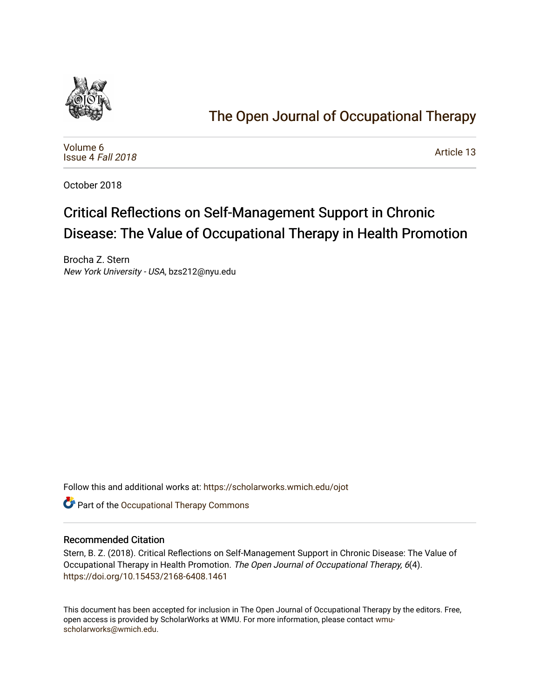

# [The Open Journal of Occupational Therapy](https://scholarworks.wmich.edu/ojot)

[Volume 6](https://scholarworks.wmich.edu/ojot/vol6) [Issue 4](https://scholarworks.wmich.edu/ojot/vol6/iss4) Fall 2018

[Article 13](https://scholarworks.wmich.edu/ojot/vol6/iss4/13) 

October 2018

# Critical Reflections on Self-Management Support in Chronic Disease: The Value of Occupational Therapy in Health Promotion

Brocha Z. Stern New York University - USA, bzs212@nyu.edu

Follow this and additional works at: [https://scholarworks.wmich.edu/ojot](https://scholarworks.wmich.edu/ojot?utm_source=scholarworks.wmich.edu%2Fojot%2Fvol6%2Fiss4%2F13&utm_medium=PDF&utm_campaign=PDFCoverPages)

**C** Part of the Occupational Therapy Commons

#### Recommended Citation

Stern, B. Z. (2018). Critical Reflections on Self-Management Support in Chronic Disease: The Value of Occupational Therapy in Health Promotion. The Open Journal of Occupational Therapy, 6(4). <https://doi.org/10.15453/2168-6408.1461>

This document has been accepted for inclusion in The Open Journal of Occupational Therapy by the editors. Free, open access is provided by ScholarWorks at WMU. For more information, please contact [wmu](mailto:wmu-scholarworks@wmich.edu)[scholarworks@wmich.edu.](mailto:wmu-scholarworks@wmich.edu)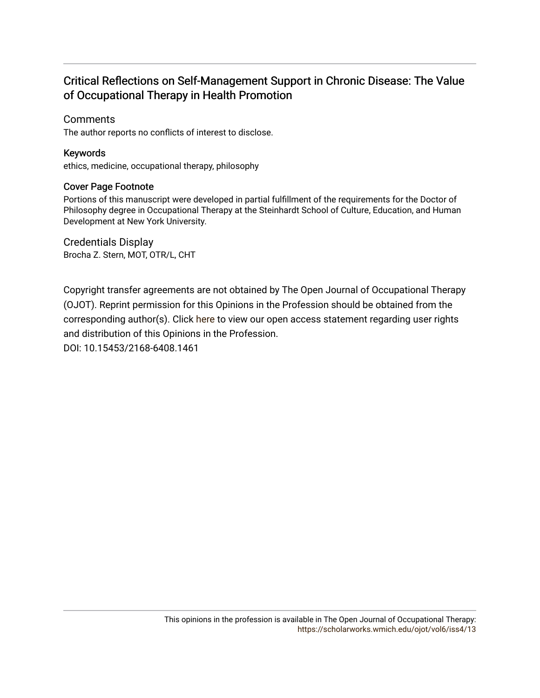## Critical Reflections on Self-Management Support in Chronic Disease: The Value of Occupational Therapy in Health Promotion

### **Comments**

The author reports no conflicts of interest to disclose.

### Keywords

ethics, medicine, occupational therapy, philosophy

#### Cover Page Footnote

Portions of this manuscript were developed in partial fulfillment of the requirements for the Doctor of Philosophy degree in Occupational Therapy at the Steinhardt School of Culture, Education, and Human Development at New York University.

Credentials Display Brocha Z. Stern, MOT, OTR/L, CHT

Copyright transfer agreements are not obtained by The Open Journal of Occupational Therapy (OJOT). Reprint permission for this Opinions in the Profession should be obtained from the corresponding author(s). Click [here](https://scholarworks.wmich.edu/ojot/policies.html#rights) to view our open access statement regarding user rights and distribution of this Opinions in the Profession.

DOI: 10.15453/2168-6408.1461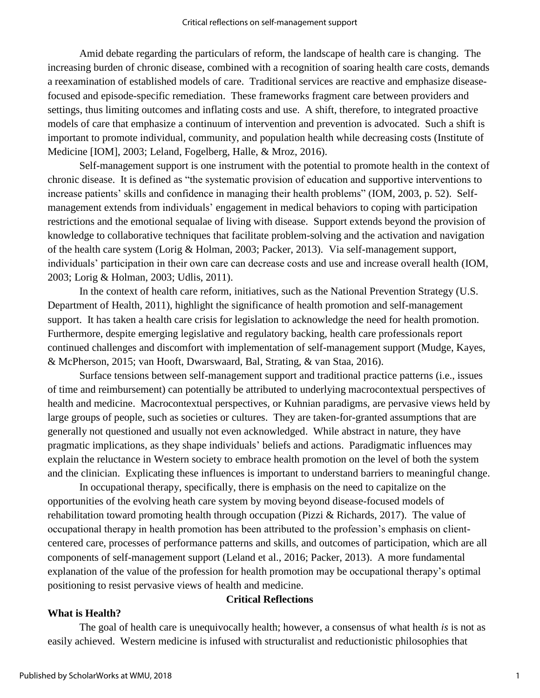Amid debate regarding the particulars of reform, the landscape of health care is changing. The increasing burden of chronic disease, combined with a recognition of soaring health care costs, demands a reexamination of established models of care. Traditional services are reactive and emphasize diseasefocused and episode-specific remediation. These frameworks fragment care between providers and settings, thus limiting outcomes and inflating costs and use. A shift, therefore, to integrated proactive models of care that emphasize a continuum of intervention and prevention is advocated. Such a shift is important to promote individual, community, and population health while decreasing costs (Institute of Medicine [IOM], 2003; Leland, Fogelberg, Halle, & Mroz, 2016).

Self-management support is one instrument with the potential to promote health in the context of chronic disease. It is defined as "the systematic provision of education and supportive interventions to increase patients' skills and confidence in managing their health problems" (IOM, 2003, p. 52). Selfmanagement extends from individuals' engagement in medical behaviors to coping with participation restrictions and the emotional sequalae of living with disease. Support extends beyond the provision of knowledge to collaborative techniques that facilitate problem-solving and the activation and navigation of the health care system (Lorig & Holman, 2003; Packer, 2013). Via self-management support, individuals' participation in their own care can decrease costs and use and increase overall health (IOM, 2003; Lorig & Holman, 2003; Udlis, 2011).

In the context of health care reform, initiatives, such as the National Prevention Strategy (U.S. Department of Health, 2011), highlight the significance of health promotion and self-management support. It has taken a health care crisis for legislation to acknowledge the need for health promotion. Furthermore, despite emerging legislative and regulatory backing, health care professionals report continued challenges and discomfort with implementation of self-management support (Mudge, Kayes, & McPherson, 2015; van Hooft, Dwarswaard, Bal, Strating, & van Staa, 2016).

Surface tensions between self-management support and traditional practice patterns (i.e., issues of time and reimbursement) can potentially be attributed to underlying macrocontextual perspectives of health and medicine. Macrocontextual perspectives, or Kuhnian paradigms, are pervasive views held by large groups of people, such as societies or cultures. They are taken-for-granted assumptions that are generally not questioned and usually not even acknowledged. While abstract in nature, they have pragmatic implications, as they shape individuals' beliefs and actions. Paradigmatic influences may explain the reluctance in Western society to embrace health promotion on the level of both the system and the clinician. Explicating these influences is important to understand barriers to meaningful change.

In occupational therapy, specifically, there is emphasis on the need to capitalize on the opportunities of the evolving heath care system by moving beyond disease-focused models of rehabilitation toward promoting health through occupation (Pizzi & Richards, 2017). The value of occupational therapy in health promotion has been attributed to the profession's emphasis on clientcentered care, processes of performance patterns and skills, and outcomes of participation, which are all components of self-management support (Leland et al., 2016; Packer, 2013). A more fundamental explanation of the value of the profession for health promotion may be occupational therapy's optimal positioning to resist pervasive views of health and medicine.

#### **What is Health?**

#### **Critical Reflections**

The goal of health care is unequivocally health; however, a consensus of what health *is* is not as easily achieved. Western medicine is infused with structuralist and reductionistic philosophies that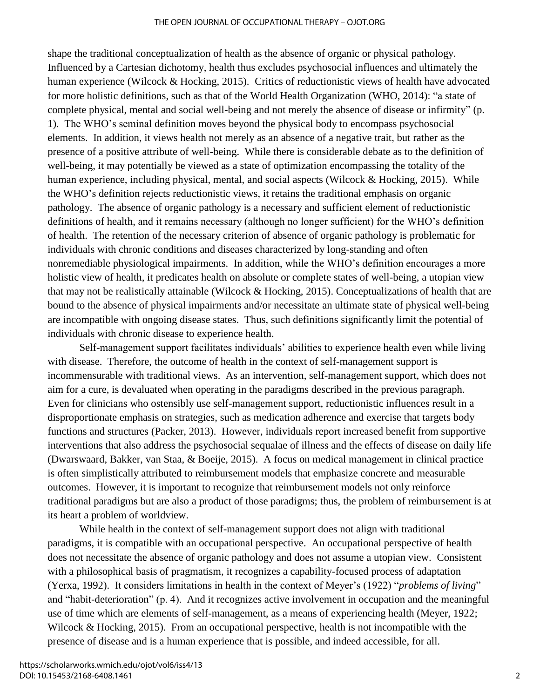#### THE OPEN JOURNAL OF OCCUPATIONAL THERAPY – OJOT.ORG

shape the traditional conceptualization of health as the absence of organic or physical pathology. Influenced by a Cartesian dichotomy, health thus excludes psychosocial influences and ultimately the human experience (Wilcock & Hocking, 2015). Critics of reductionistic views of health have advocated for more holistic definitions, such as that of the World Health Organization (WHO, 2014): "a state of complete physical, mental and social well-being and not merely the absence of disease or infirmity" (p. 1). The WHO's seminal definition moves beyond the physical body to encompass psychosocial elements. In addition, it views health not merely as an absence of a negative trait, but rather as the presence of a positive attribute of well-being. While there is considerable debate as to the definition of well-being, it may potentially be viewed as a state of optimization encompassing the totality of the human experience, including physical, mental, and social aspects (Wilcock & Hocking, 2015). While the WHO's definition rejects reductionistic views, it retains the traditional emphasis on organic pathology. The absence of organic pathology is a necessary and sufficient element of reductionistic definitions of health, and it remains necessary (although no longer sufficient) for the WHO's definition of health. The retention of the necessary criterion of absence of organic pathology is problematic for individuals with chronic conditions and diseases characterized by long-standing and often nonremediable physiological impairments. In addition, while the WHO's definition encourages a more holistic view of health, it predicates health on absolute or complete states of well-being, a utopian view that may not be realistically attainable (Wilcock & Hocking, 2015). Conceptualizations of health that are bound to the absence of physical impairments and/or necessitate an ultimate state of physical well-being are incompatible with ongoing disease states. Thus, such definitions significantly limit the potential of individuals with chronic disease to experience health.

Self-management support facilitates individuals' abilities to experience health even while living with disease. Therefore, the outcome of health in the context of self-management support is incommensurable with traditional views. As an intervention, self-management support, which does not aim for a cure, is devaluated when operating in the paradigms described in the previous paragraph. Even for clinicians who ostensibly use self-management support, reductionistic influences result in a disproportionate emphasis on strategies, such as medication adherence and exercise that targets body functions and structures (Packer, 2013). However, individuals report increased benefit from supportive interventions that also address the psychosocial sequalae of illness and the effects of disease on daily life (Dwarswaard, Bakker, van Staa, & Boeije, 2015). A focus on medical management in clinical practice is often simplistically attributed to reimbursement models that emphasize concrete and measurable outcomes. However, it is important to recognize that reimbursement models not only reinforce traditional paradigms but are also a product of those paradigms; thus, the problem of reimbursement is at its heart a problem of worldview.

While health in the context of self-management support does not align with traditional paradigms, it is compatible with an occupational perspective. An occupational perspective of health does not necessitate the absence of organic pathology and does not assume a utopian view. Consistent with a philosophical basis of pragmatism, it recognizes a capability-focused process of adaptation (Yerxa, 1992). It considers limitations in health in the context of Meyer's (1922) "*problems of living*" and "habit-deterioration" (p. 4). And it recognizes active involvement in occupation and the meaningful use of time which are elements of self-management, as a means of experiencing health (Meyer, 1922; Wilcock & Hocking, 2015). From an occupational perspective, health is not incompatible with the presence of disease and is a human experience that is possible, and indeed accessible, for all.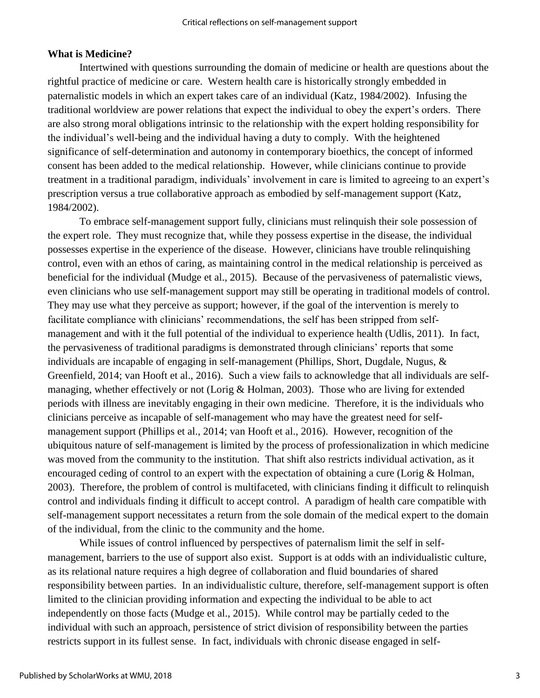#### **What is Medicine?**

Intertwined with questions surrounding the domain of medicine or health are questions about the rightful practice of medicine or care. Western health care is historically strongly embedded in paternalistic models in which an expert takes care of an individual (Katz, 1984/2002). Infusing the traditional worldview are power relations that expect the individual to obey the expert's orders. There are also strong moral obligations intrinsic to the relationship with the expert holding responsibility for the individual's well-being and the individual having a duty to comply. With the heightened significance of self-determination and autonomy in contemporary bioethics, the concept of informed consent has been added to the medical relationship. However, while clinicians continue to provide treatment in a traditional paradigm, individuals' involvement in care is limited to agreeing to an expert's prescription versus a true collaborative approach as embodied by self-management support (Katz, 1984/2002).

To embrace self-management support fully, clinicians must relinquish their sole possession of the expert role. They must recognize that, while they possess expertise in the disease, the individual possesses expertise in the experience of the disease. However, clinicians have trouble relinquishing control, even with an ethos of caring, as maintaining control in the medical relationship is perceived as beneficial for the individual (Mudge et al., 2015). Because of the pervasiveness of paternalistic views, even clinicians who use self-management support may still be operating in traditional models of control. They may use what they perceive as support; however, if the goal of the intervention is merely to facilitate compliance with clinicians' recommendations, the self has been stripped from selfmanagement and with it the full potential of the individual to experience health (Udlis, 2011). In fact, the pervasiveness of traditional paradigms is demonstrated through clinicians' reports that some individuals are incapable of engaging in self-management (Phillips, Short, Dugdale, Nugus, & Greenfield, 2014; van Hooft et al., 2016). Such a view fails to acknowledge that all individuals are selfmanaging, whether effectively or not (Lorig & Holman, 2003). Those who are living for extended periods with illness are inevitably engaging in their own medicine. Therefore, it is the individuals who clinicians perceive as incapable of self-management who may have the greatest need for selfmanagement support (Phillips et al., 2014; van Hooft et al., 2016). However, recognition of the ubiquitous nature of self-management is limited by the process of professionalization in which medicine was moved from the community to the institution. That shift also restricts individual activation, as it encouraged ceding of control to an expert with the expectation of obtaining a cure (Lorig & Holman, 2003). Therefore, the problem of control is multifaceted, with clinicians finding it difficult to relinquish control and individuals finding it difficult to accept control. A paradigm of health care compatible with self-management support necessitates a return from the sole domain of the medical expert to the domain of the individual, from the clinic to the community and the home.

While issues of control influenced by perspectives of paternalism limit the self in selfmanagement, barriers to the use of support also exist. Support is at odds with an individualistic culture, as its relational nature requires a high degree of collaboration and fluid boundaries of shared responsibility between parties. In an individualistic culture, therefore, self-management support is often limited to the clinician providing information and expecting the individual to be able to act independently on those facts (Mudge et al., 2015). While control may be partially ceded to the individual with such an approach, persistence of strict division of responsibility between the parties restricts support in its fullest sense. In fact, individuals with chronic disease engaged in self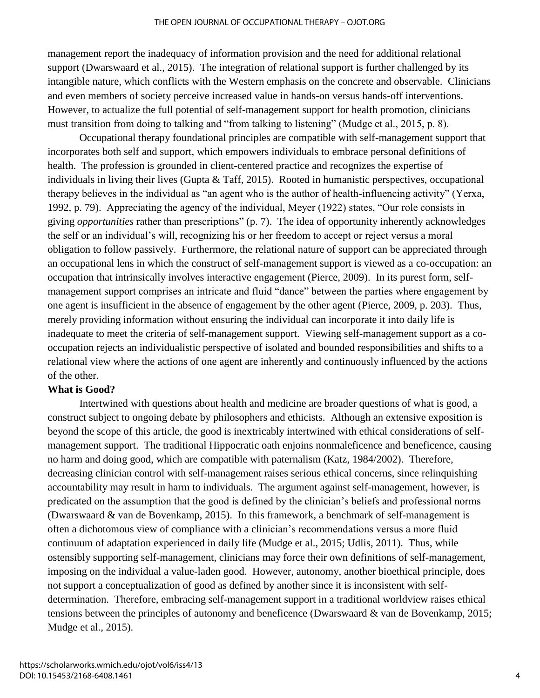management report the inadequacy of information provision and the need for additional relational support (Dwarswaard et al., 2015). The integration of relational support is further challenged by its intangible nature, which conflicts with the Western emphasis on the concrete and observable. Clinicians and even members of society perceive increased value in hands-on versus hands-off interventions. However, to actualize the full potential of self-management support for health promotion, clinicians must transition from doing to talking and "from talking to listening" (Mudge et al., 2015, p. 8).

Occupational therapy foundational principles are compatible with self-management support that incorporates both self and support, which empowers individuals to embrace personal definitions of health. The profession is grounded in client-centered practice and recognizes the expertise of individuals in living their lives (Gupta & Taff, 2015). Rooted in humanistic perspectives, occupational therapy believes in the individual as "an agent who is the author of health-influencing activity" (Yerxa, 1992, p. 79). Appreciating the agency of the individual, Meyer (1922) states, "Our role consists in giving *opportunities* rather than prescriptions" (p. 7). The idea of opportunity inherently acknowledges the self or an individual's will, recognizing his or her freedom to accept or reject versus a moral obligation to follow passively. Furthermore, the relational nature of support can be appreciated through an occupational lens in which the construct of self-management support is viewed as a co-occupation: an occupation that intrinsically involves interactive engagement (Pierce, 2009). In its purest form, selfmanagement support comprises an intricate and fluid "dance" between the parties where engagement by one agent is insufficient in the absence of engagement by the other agent (Pierce, 2009, p. 203). Thus, merely providing information without ensuring the individual can incorporate it into daily life is inadequate to meet the criteria of self-management support. Viewing self-management support as a cooccupation rejects an individualistic perspective of isolated and bounded responsibilities and shifts to a relational view where the actions of one agent are inherently and continuously influenced by the actions of the other.

#### **What is Good?**

Intertwined with questions about health and medicine are broader questions of what is good, a construct subject to ongoing debate by philosophers and ethicists. Although an extensive exposition is beyond the scope of this article, the good is inextricably intertwined with ethical considerations of selfmanagement support. The traditional Hippocratic oath enjoins nonmaleficence and beneficence, causing no harm and doing good, which are compatible with paternalism (Katz, 1984/2002). Therefore, decreasing clinician control with self-management raises serious ethical concerns, since relinquishing accountability may result in harm to individuals. The argument against self-management, however, is predicated on the assumption that the good is defined by the clinician's beliefs and professional norms (Dwarswaard & van de Bovenkamp, 2015). In this framework, a benchmark of self-management is often a dichotomous view of compliance with a clinician's recommendations versus a more fluid continuum of adaptation experienced in daily life (Mudge et al., 2015; Udlis, 2011). Thus, while ostensibly supporting self-management, clinicians may force their own definitions of self-management, imposing on the individual a value-laden good. However, autonomy, another bioethical principle, does not support a conceptualization of good as defined by another since it is inconsistent with selfdetermination. Therefore, embracing self-management support in a traditional worldview raises ethical tensions between the principles of autonomy and beneficence (Dwarswaard & van de Bovenkamp, 2015; Mudge et al., 2015).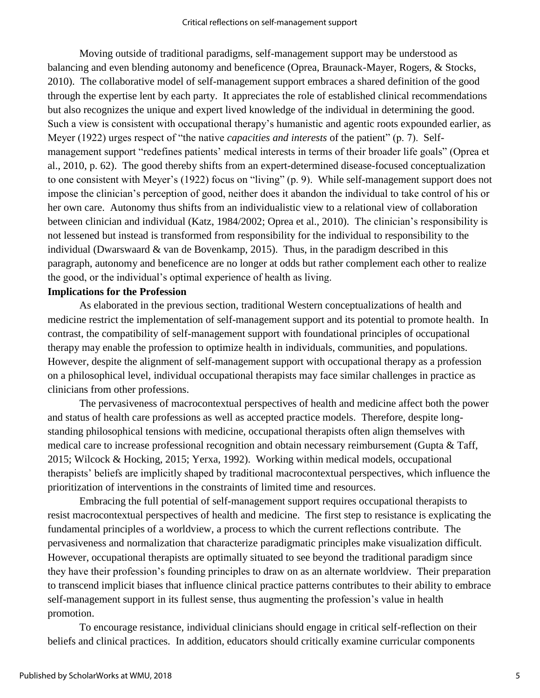Moving outside of traditional paradigms, self-management support may be understood as balancing and even blending autonomy and beneficence (Oprea, Braunack-Mayer, Rogers, & Stocks, 2010). The collaborative model of self-management support embraces a shared definition of the good through the expertise lent by each party. It appreciates the role of established clinical recommendations but also recognizes the unique and expert lived knowledge of the individual in determining the good. Such a view is consistent with occupational therapy's humanistic and agentic roots expounded earlier, as Meyer (1922) urges respect of "the native *capacities and interests* of the patient" (p. 7). Selfmanagement support "redefines patients' medical interests in terms of their broader life goals" (Oprea et al., 2010, p. 62). The good thereby shifts from an expert-determined disease-focused conceptualization to one consistent with Meyer's (1922) focus on "living" (p. 9). While self-management support does not impose the clinician's perception of good, neither does it abandon the individual to take control of his or her own care. Autonomy thus shifts from an individualistic view to a relational view of collaboration between clinician and individual (Katz, 1984/2002; Oprea et al., 2010). The clinician's responsibility is not lessened but instead is transformed from responsibility for the individual to responsibility to the individual (Dwarswaard & van de Bovenkamp, 2015). Thus, in the paradigm described in this paragraph, autonomy and beneficence are no longer at odds but rather complement each other to realize the good, or the individual's optimal experience of health as living.

#### **Implications for the Profession**

As elaborated in the previous section, traditional Western conceptualizations of health and medicine restrict the implementation of self-management support and its potential to promote health. In contrast, the compatibility of self-management support with foundational principles of occupational therapy may enable the profession to optimize health in individuals, communities, and populations. However, despite the alignment of self-management support with occupational therapy as a profession on a philosophical level, individual occupational therapists may face similar challenges in practice as clinicians from other professions.

The pervasiveness of macrocontextual perspectives of health and medicine affect both the power and status of health care professions as well as accepted practice models. Therefore, despite longstanding philosophical tensions with medicine, occupational therapists often align themselves with medical care to increase professional recognition and obtain necessary reimbursement (Gupta & Taff, 2015; Wilcock & Hocking, 2015; Yerxa, 1992). Working within medical models, occupational therapists' beliefs are implicitly shaped by traditional macrocontextual perspectives, which influence the prioritization of interventions in the constraints of limited time and resources.

Embracing the full potential of self-management support requires occupational therapists to resist macrocontextual perspectives of health and medicine. The first step to resistance is explicating the fundamental principles of a worldview, a process to which the current reflections contribute. The pervasiveness and normalization that characterize paradigmatic principles make visualization difficult. However, occupational therapists are optimally situated to see beyond the traditional paradigm since they have their profession's founding principles to draw on as an alternate worldview. Their preparation to transcend implicit biases that influence clinical practice patterns contributes to their ability to embrace self-management support in its fullest sense, thus augmenting the profession's value in health promotion.

To encourage resistance, individual clinicians should engage in critical self-reflection on their beliefs and clinical practices. In addition, educators should critically examine curricular components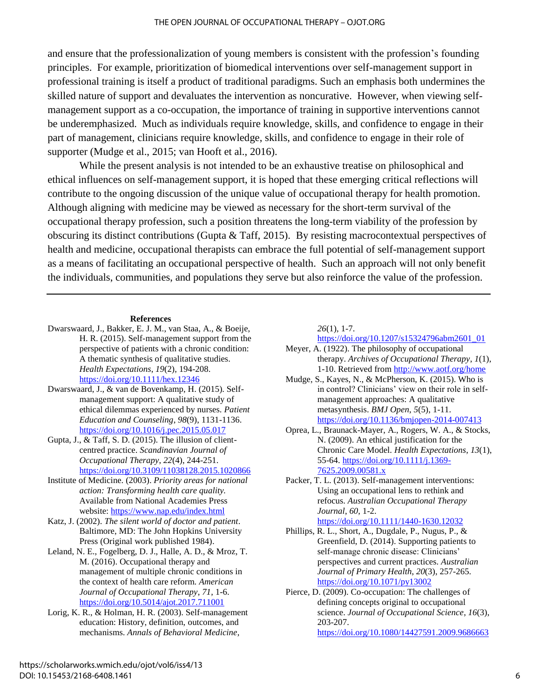and ensure that the professionalization of young members is consistent with the profession's founding principles. For example, prioritization of biomedical interventions over self-management support in professional training is itself a product of traditional paradigms. Such an emphasis both undermines the skilled nature of support and devaluates the intervention as noncurative. However, when viewing selfmanagement support as a co-occupation, the importance of training in supportive interventions cannot be underemphasized. Much as individuals require knowledge, skills, and confidence to engage in their part of management, clinicians require knowledge, skills, and confidence to engage in their role of supporter (Mudge et al., 2015; van Hooft et al., 2016).

While the present analysis is not intended to be an exhaustive treatise on philosophical and ethical influences on self-management support, it is hoped that these emerging critical reflections will contribute to the ongoing discussion of the unique value of occupational therapy for health promotion. Although aligning with medicine may be viewed as necessary for the short-term survival of the occupational therapy profession, such a position threatens the long-term viability of the profession by obscuring its distinct contributions (Gupta & Taff, 2015). By resisting macrocontextual perspectives of health and medicine, occupational therapists can embrace the full potential of self-management support as a means of facilitating an occupational perspective of health. Such an approach will not only benefit the individuals, communities, and populations they serve but also reinforce the value of the profession.

#### **References**

- Dwarswaard, J., Bakker, E. J. M., van Staa, A., & Boeije, H. R. (2015). Self-management support from the perspective of patients with a chronic condition: A thematic synthesis of qualitative studies. *Health Expectations*, *19*(2), 194-208. <https://doi.org/10.1111/hex.12346>
- Dwarswaard, J., & van de Bovenkamp, H. (2015). Selfmanagement support: A qualitative study of ethical dilemmas experienced by nurses. *Patient Education and Counseling*, *98*(9), 1131-1136. <https://doi.org/10.1016/j.pec.2015.05.017>
- Gupta, J., & Taff, S. D. (2015). The illusion of clientcentred practice. *Scandinavian Journal of Occupational Therapy*, *22*(4), 244-251. <https://doi.org/10.3109/11038128.2015.1020866>
- Institute of Medicine. (2003). *Priority areas for national action: Transforming health care quality.* Available from National Academies Press website: <https://www.nap.edu/index.html>
- Katz, J. (2002). *The silent world of doctor and patient*. Baltimore, MD: The John Hopkins University Press (Original work published 1984).
- Leland, N. E., Fogelberg, D. J., Halle, A. D., & Mroz, T. M. (2016). Occupational therapy and management of multiple chronic conditions in the context of health care reform. *American Journal of Occupational Therapy*, *71*, 1-6. <https://doi.org/10.5014/ajot.2017.711001>
- Lorig, K. R., & Holman, H. R. (2003). Self-management education: History, definition, outcomes, and mechanisms. *Annals of Behavioral Medicine*,

*26*(1), 1-7.

[https://doi.org/10.1207/s15324796abm2601\\_01](https://doi.org/10.1207/s15324796abm2601_01)

- Meyer, A. (1922). The philosophy of occupational therapy. *Archives of Occupational Therapy*, *1*(1), 1-10. Retrieved fro[m http://www.aotf.org/home](http://www.aotf.org/home)
- Mudge, S., Kayes, N., & McPherson, K. (2015). Who is in control? Clinicians' view on their role in selfmanagement approaches: A qualitative metasynthesis. *BMJ Open*, *5*(5), 1-11. <https://doi.org/10.1136/bmjopen-2014-007413>
- Oprea, L., Braunack-Mayer, A., Rogers, W. A., & Stocks, N. (2009). An ethical justification for the Chronic Care Model. *Health Expectations*, *13*(1), 55-64. [https://doi.org/10.1111/j.1369-](https://doi.org/10.1111/j.1369-7625.2009.00581.x) [7625.2009.00581.x](https://doi.org/10.1111/j.1369-7625.2009.00581.x)
- Packer, T. L. (2013). Self-management interventions: Using an occupational lens to rethink and refocus. *Australian Occupational Therapy Journal*, *60*, 1-2. <https://doi.org/10.1111/1440-1630.12032>
- Phillips, R. L., Short, A., Dugdale, P., Nugus, P., & Greenfield, D. (2014). Supporting patients to self-manage chronic disease: Clinicians' perspectives and current practices. *Australian Journal of Primary Health*, *20*(3), 257-265. <https://doi.org/10.1071/py13002>
- Pierce, D. (2009). Co-occupation: The challenges of defining concepts original to occupational science. *Journal of Occupational Science*, *16*(3), 203-207. <https://doi.org/10.1080/14427591.2009.9686663>